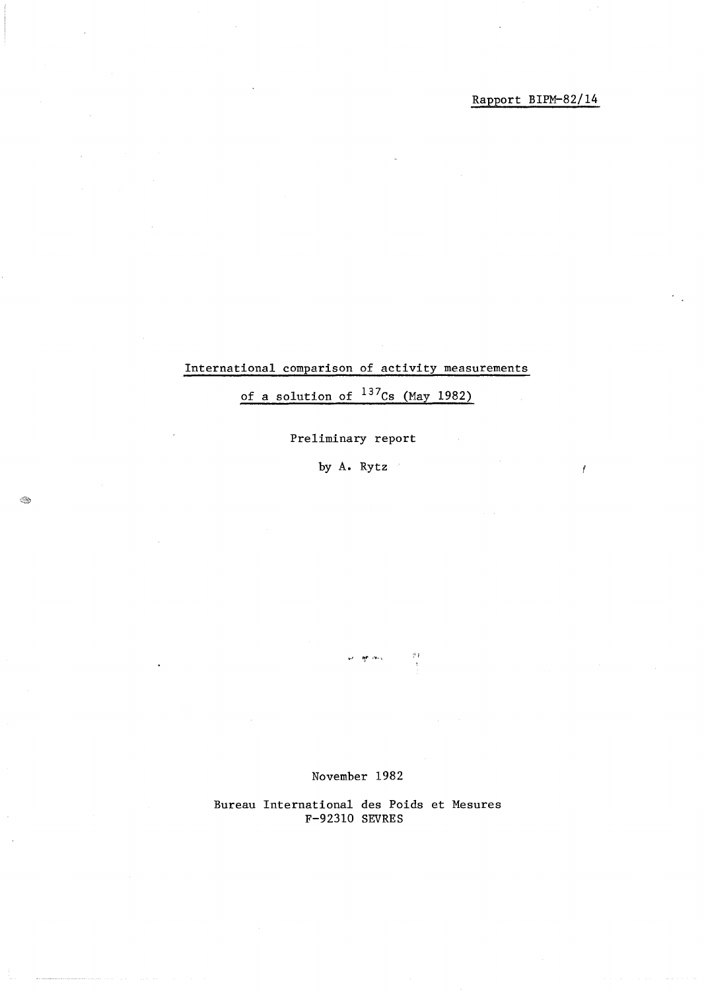# International comparison of activity measurements

of a solution of  $137$ Cs (May 1982)

#### Preliminary report

by **A.** Rytz

 $\otimes$ 

November 1982

ur <del>yr</del> acy

 $\frac{1}{\sqrt{2}}$ 

Bureau International des Poids et Mesures F-92310 SEVRES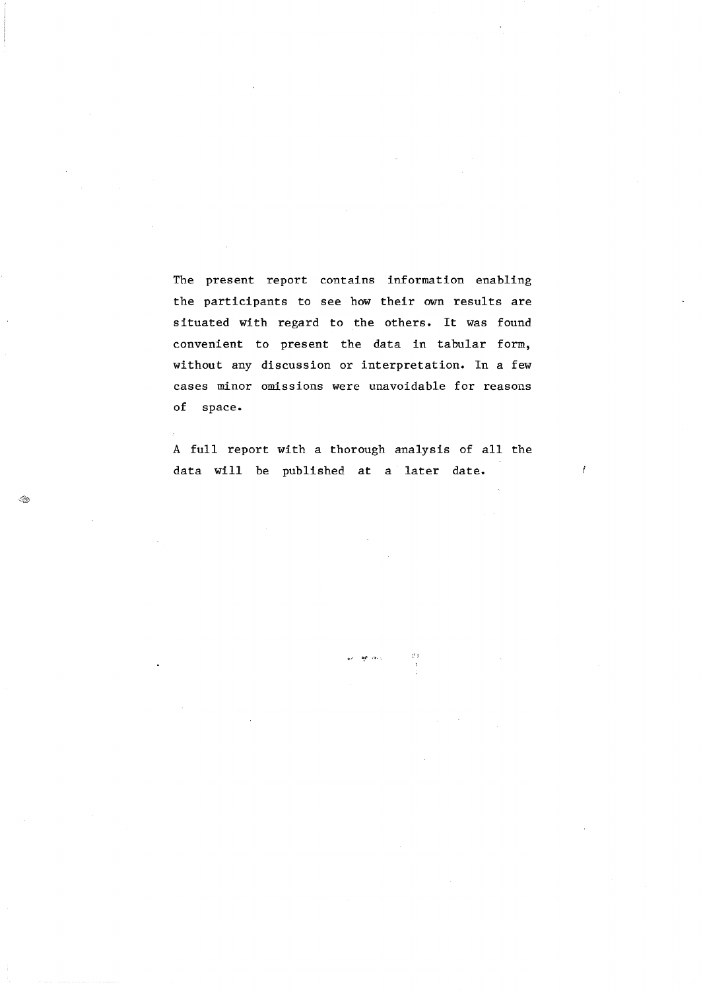The present report contains information enabling the participants to see how their own results are situated with regard to the others. It was found convenient to present the data in tabular form, without any discussion or interpretation. In a few cases minor omissions were unavoidable for reasons of space.

A full report with a thorough analysis of all the data will be published at a later date.

 $\mathcal{I}^{\mathcal{I}}$  )

sa <del>ap</del>onist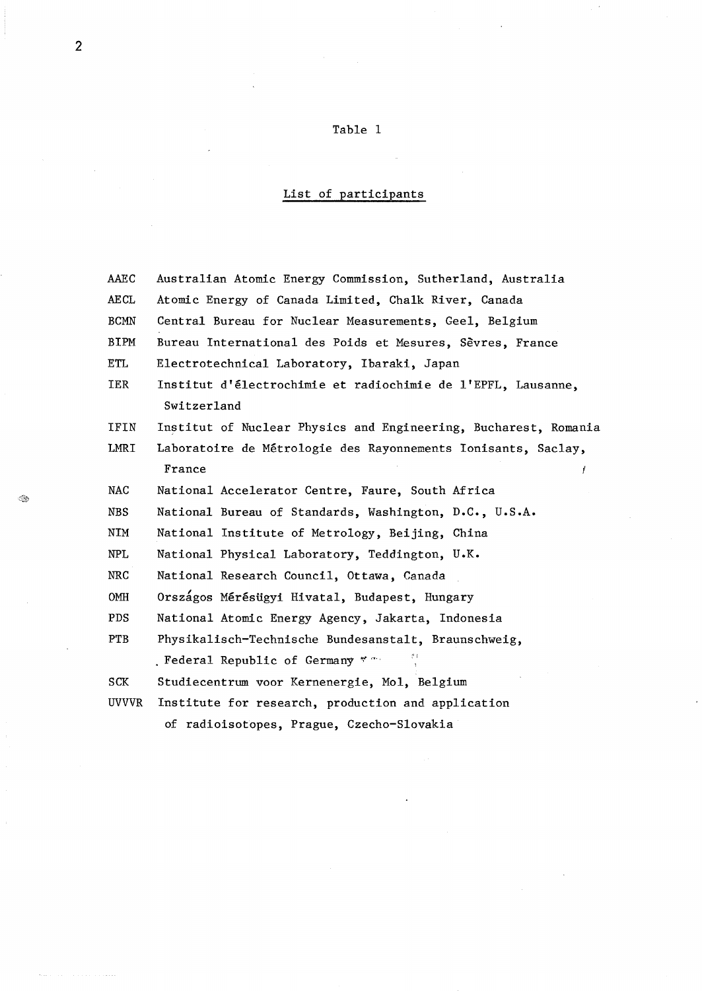# Table 1

### List of participants

| AAEC         | Australian Atomic Energy Commission, Sutherland, Australia      |  |  |  |  |  |  |  |  |  |
|--------------|-----------------------------------------------------------------|--|--|--|--|--|--|--|--|--|
| <b>AECL</b>  | Atomic Energy of Canada Limited, Chalk River, Canada            |  |  |  |  |  |  |  |  |  |
| <b>BCMN</b>  | Central Bureau for Nuclear Measurements, Geel, Belgium          |  |  |  |  |  |  |  |  |  |
| <b>BIPM</b>  | Bureau International des Poids et Mesures, Sèvres, France       |  |  |  |  |  |  |  |  |  |
| ETL          | Electrotechnical Laboratory, Ibaraki, Japan                     |  |  |  |  |  |  |  |  |  |
| IER          | Institut d'électrochimie et radiochimie de l'EPFL, Lausanne,    |  |  |  |  |  |  |  |  |  |
|              | Switzerland                                                     |  |  |  |  |  |  |  |  |  |
| IFIN         | Institut of Nuclear Physics and Engineering, Bucharest, Romania |  |  |  |  |  |  |  |  |  |
| LMRI         | Laboratoire de Métrologie des Rayonnements Ionisants, Saclay,   |  |  |  |  |  |  |  |  |  |
|              | France<br>Ť                                                     |  |  |  |  |  |  |  |  |  |
| NAC          | National Accelerator Centre, Faure, South Africa                |  |  |  |  |  |  |  |  |  |
| <b>NBS</b>   | National Bureau of Standards, Washington, D.C., U.S.A.          |  |  |  |  |  |  |  |  |  |
| NIM          | National Institute of Metrology, Beijing, China                 |  |  |  |  |  |  |  |  |  |
| <b>NPL</b>   | National Physical Laboratory, Teddington, U.K.                  |  |  |  |  |  |  |  |  |  |
| NRC          | National Research Council, Ottawa, Canada                       |  |  |  |  |  |  |  |  |  |
| OMH          | Országos Mérésügyi Hivatal, Budapest, Hungary                   |  |  |  |  |  |  |  |  |  |
| <b>PDS</b>   | National Atomic Energy Agency, Jakarta, Indonesia               |  |  |  |  |  |  |  |  |  |
| PTB          | Physikalisch-Technische Bundesanstalt, Braunschweig,            |  |  |  |  |  |  |  |  |  |
|              | . Federal Republic of Germany * * *                             |  |  |  |  |  |  |  |  |  |
| <b>SCK</b>   | Studiecentrum voor Kernenergie, Mo1, Belgium                    |  |  |  |  |  |  |  |  |  |
| <b>UVVVR</b> | Institute for research, production and application              |  |  |  |  |  |  |  |  |  |
|              | of radioisotopes, Prague, Czecho-Slovakia                       |  |  |  |  |  |  |  |  |  |

~>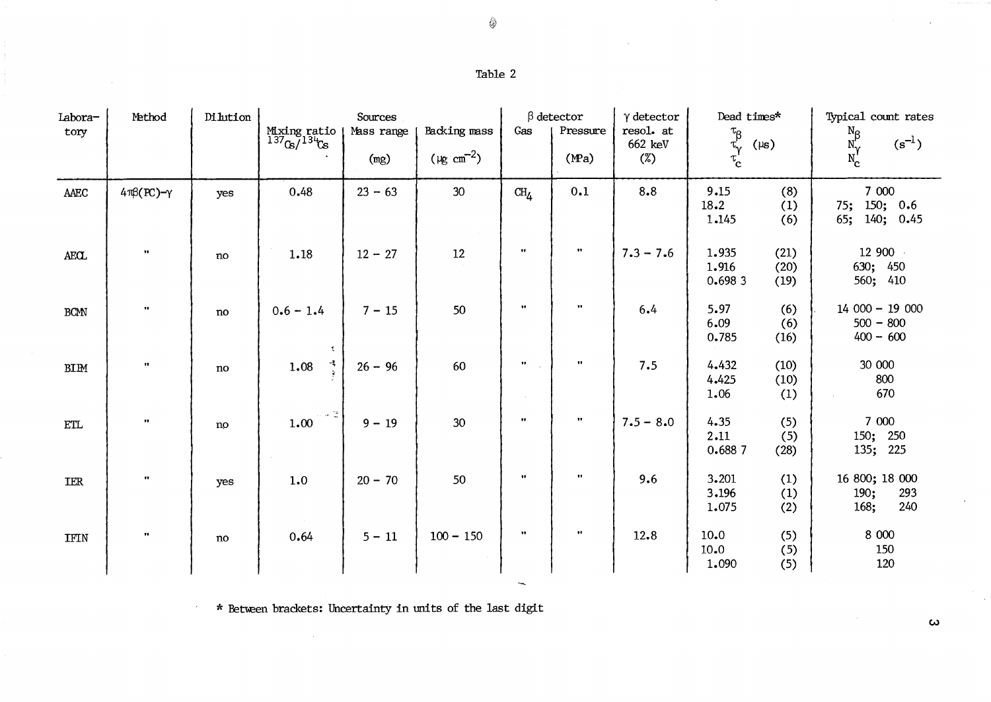$\sim 10^{-1}$ 

| 4DJ 1 |  |
|-------|--|
|-------|--|

| Labora-<br>tory      | Method            | Dilution | Mixing ratio $137\frac{\text{K}}{137\text{G}}/134\text{G}$ | Sources<br>Mass range<br>(mg) | Backing mass<br>$(\mu g \text{ cm}^{-2})$ | Gas                  | $\beta$ detector<br>Pressure<br>(MPa) | $\gamma$ detector<br>resol. at<br>662 keV<br>$(\%)$ | Dead times*<br>$\tau_{\gamma}^{\tau_{\beta}}$ | $(\mu s)$            | Typical count rates<br>$\begin{array}{c} N_{\beta}\\ N_{\gamma}\\ N_{\text{C}} \end{array}$<br>$(s^{-1})$ |
|----------------------|-------------------|----------|------------------------------------------------------------|-------------------------------|-------------------------------------------|----------------------|---------------------------------------|-----------------------------------------------------|-----------------------------------------------|----------------------|-----------------------------------------------------------------------------------------------------------|
| AAEC                 | $4\pi(PC)-\gamma$ | yes      | 0.48                                                       | $23 - 63$                     | 30 <sub>o</sub>                           | $\text{CH}_4$        | 0.1                                   | 8.8                                                 | 9.15<br>18.2<br>1.145                         | (8)<br>(1)<br>(6)    | 7 000<br>150; $0.6$<br>75;<br>0.45<br>65;<br>140;                                                         |
| AECL                 | $\mathbf{H}$      | no       | 1.18                                                       | $12 - 27$                     | 12                                        | $\mathbf{H}$         | $\mathbf{H}$                          | $7.3 - 7.6$                                         | 1.935<br>1.916<br>0.698 3                     | (21)<br>(20)<br>(19) | 12 900<br>630; 450<br>560; 410                                                                            |
| $\operatorname{BCM}$ | $\bullet\bullet$  | no       | $0.6 - 1.4$                                                | $7 - 15$                      | 50                                        | $\bullet\bullet$     | $\mathbf{10}$                         | 6.4                                                 | 5.97<br>6.09<br>0.785                         | (6)<br>(6)<br>(16)   | $14000 - 19000$<br>$500 - 800$<br>$400 - 600$                                                             |
| <b>BIPM</b>          | $\bullet\bullet$  | no       | ₹.<br>-3<br>1.08                                           | $26 - 96$                     | 60                                        | $\pmb{\mathfrak{m}}$ | $\bullet\bullet$                      | 7.5                                                 | 4.432<br>4.425<br>1.06                        | (10)<br>(10)<br>(1)  | 30 000<br>800<br>670                                                                                      |
| <b>ETL</b>           | $\bullet\bullet$  | no       | $\mathbb{R}^n$ .<br>1.00                                   | $9 - 19$                      | 30 <sup>°</sup>                           | $\bullet\bullet$     | $\bullet\bullet$                      | $7.5 - 8.0$                                         | 4.35<br>2.11<br>0.6887                        | (5)<br>(5)<br>(28)   | 7 000<br>250<br>150;<br>135; 225                                                                          |
| IER                  | $\bullet\bullet$  | yes      | 1.0                                                        | $20 - 70$                     | 50                                        | $\bullet\bullet$     | $\bullet\bullet$                      | 9.6                                                 | 3.201<br>3.196<br>1.075                       | (1)<br>(1)<br>(2)    | 16 800; 18 000<br>190;<br>293<br>168;<br>240                                                              |
| IFIN                 | $\bullet\bullet$  | no       | 0.64                                                       | $5 - 11$                      | $100 - 150$                               |                      | $\bullet\bullet$                      | 12.8                                                | 10.0<br>10.0<br>1.090                         | (5)<br>(5)<br>(5)    | 8 000<br>150<br>120                                                                                       |

 $\overline{\phantom{a}}$ 

\* Between brackets: Uncertainty in units of the last digit  $\mathcal{A}$ 

 $\sim 10^7$ 

 $\boldsymbol{\omega}$ 

 $\sim$ 

 $\mathbf{r}$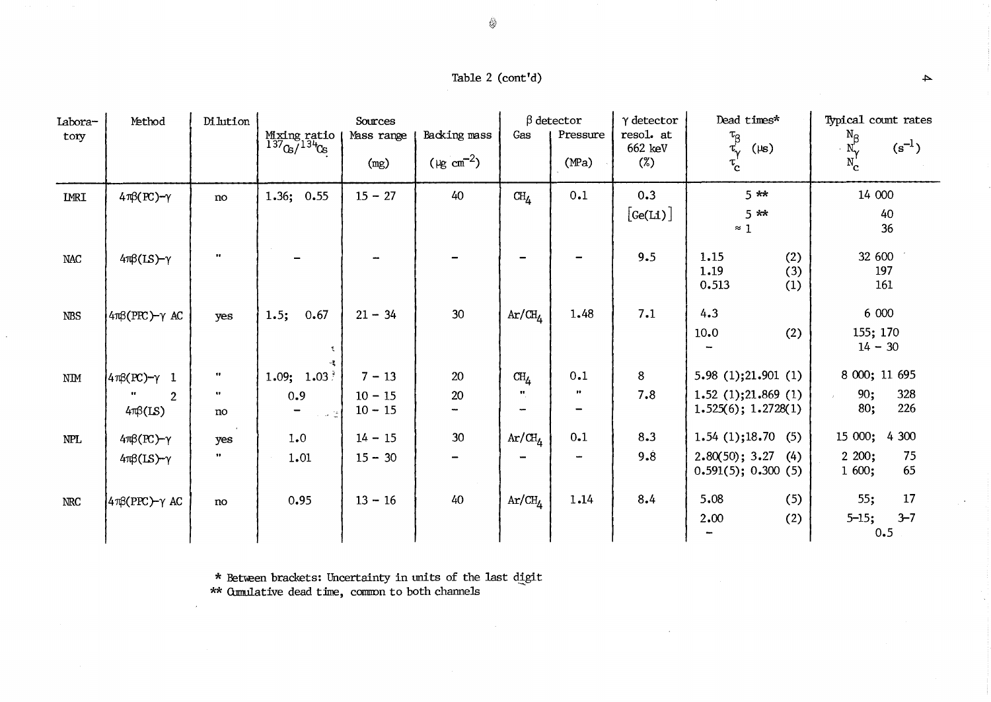| Table 2 (cont'd) |  |  |  |
|------------------|--|--|--|
|------------------|--|--|--|

| Labora-<br>tory | Method                                 | Dilution           | Mixing ratio<br>$137\frac{G}{I}134\frac{G}{S}$ | Sources<br>Mass range<br>(mg) | Backing mass<br>( $\mu$ g cm <sup>-2</sup> ) | Gas                                              | $\beta$ detector<br>Pressure<br>(MPa) | $\gamma$ detector<br>resol. at<br>662 keV<br>$(\%)$ | Dead times*<br>$\tau_{\!\!\! \gamma}^{\!\!\! \tau_{\!\!\beta}}$<br>$(\mu s)$<br>$\tau_c^{\dagger}$ | Typical count rates<br>$N_{\rm N}$<br>$(s^{-1})$<br>$N_c^{\prime}$ |
|-----------------|----------------------------------------|--------------------|------------------------------------------------|-------------------------------|----------------------------------------------|--------------------------------------------------|---------------------------------------|-----------------------------------------------------|----------------------------------------------------------------------------------------------------|--------------------------------------------------------------------|
| <b>IMRI</b>     | $4\pi\beta$ (PC)- $\gamma$             | no                 | 1.36; 0.55                                     | $15 - 27$                     | 40                                           | $\text{CH}_4$                                    | 0.1                                   | 0.3<br>$\big[\text{Ge(Li)}\big]$                    | $5 * *$<br>$5 * *$<br>$\approx$ 1                                                                  | 14 000<br>40<br>36                                                 |
| <b>NAC</b>      | $4\pi\beta(IS) - \gamma$               | $\bullet\bullet$   |                                                |                               |                                              |                                                  |                                       | 9.5                                                 | 1.15<br>(2)<br>1.19<br>(3)<br>0.513<br>(1)                                                         | 32 600<br>197<br>161                                               |
| <b>NBS</b>      | $4\pi\beta(PFC)-\gamma AC$             | yes                | 0.67<br>1.5;                                   | $21 - 34$                     | 30                                           | Ar/CH <sub>4</sub>                               | 1.48                                  | 7.1                                                 | 4.3<br>(2)<br>10.0                                                                                 | 6 000<br>155; 170<br>$14 - 30$                                     |
| NIM             | $4\pi\beta (PC)-\gamma$ 1              | $\bullet\bullet$   | 1.09;<br>1.03 <sup>3</sup>                     | $7 - 13$                      | $20\,$                                       | $\text{CH}_4$                                    | 0.1                                   | 8                                                   | 5.98(1);21.901(1)                                                                                  | 8 000; 11 695                                                      |
|                 | Ħ<br>$\overline{2}$<br>$4\pi\beta(IS)$ | $\mathbf{u}$<br>no | 0.9<br>-<br>. <u>. .</u>                       | $10 - 15$<br>$10 - 15$        | $20\,$                                       | $\pmb{\mathfrak{r}}$<br>$\overline{\phantom{a}}$ | $\mathbf{r}$                          | 7.8                                                 | 1.52 (1);21.869 (1)<br>1.525(6); 1.2728(1)                                                         | 90;<br>328<br>80;<br>226                                           |
| <b>NPL</b>      | $4\pi\beta$ (PC)- $\gamma$             | yes                | 1.0                                            | $14 - 15$                     | 30                                           | $Ar/CH_{4}$                                      | 0.1                                   | 8.3                                                 | 1.54(1);18.70<br>(5)                                                                               | 15 000; 4 300                                                      |
|                 | $4\pi\beta$ (LS)- $\gamma$             | 11                 | 1.01                                           | $15 - 30$                     |                                              |                                                  |                                       | 9.8                                                 | 2.80(50); 3.27<br>(4)<br>$0.591(5)$ ; $0.300(5)$                                                   | $2\,200;$<br>75<br>65<br>1600;                                     |
| <b>NRC</b>      | $4\pi\beta(PPC)-\gamma AC$             | no                 | 0.95                                           | $13 - 16$                     | 40                                           | $Ar/CH_4$                                        | 1.14                                  | 8.4                                                 | 5.08<br>(5)<br>2.00                                                                                | 17<br>55;<br>$3 - 7$<br>$5 - 15;$                                  |
|                 |                                        |                    |                                                |                               |                                              |                                                  |                                       |                                                     | (2)                                                                                                | 0.5                                                                |

\* Between brackets: Uncertainty in units of the last digit<br>\*\* Cumulative dead time, common to both channels

 $\mathcal{L}$ 

0

 $\blacktriangle$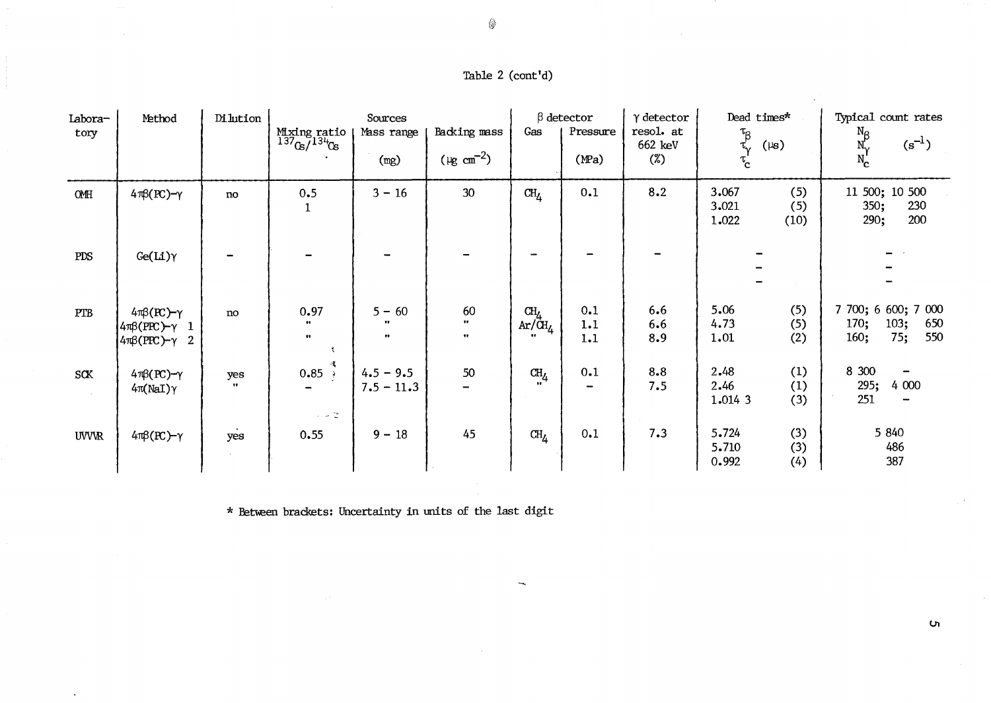| Labora-<br>tory | Method                                                                                      | Dilution            | Mixing ratio<br>$137$ $\frac{137}{\text{G}}$ $134$ $\text{G}$ | Sources<br>Mass range<br>(mg)             | Backing mass<br>( $\mu$ g cm <sup>-2</sup> ) | Gas                                                           | $\upbeta$ detector<br>Pressure<br>(MPa) | $\gamma$ detector<br>resol. at<br>662 keV<br>$(\%)$ | Dead times*<br>$\tau_{\rm p}^{\tau}$<br>$(\mu s)$<br>$\tau_{\rm c}$ |                    | Typical count rates<br>$\frac{N_{\beta}}{N_{\nu}}$<br>$(s^{-1})$<br>$N_c$ |
|-----------------|---------------------------------------------------------------------------------------------|---------------------|---------------------------------------------------------------|-------------------------------------------|----------------------------------------------|---------------------------------------------------------------|-----------------------------------------|-----------------------------------------------------|---------------------------------------------------------------------|--------------------|---------------------------------------------------------------------------|
| <b>OMH</b>      | $4\pi\beta (PC)-\gamma$                                                                     | no                  | 0.5<br>$\mathbf{1}$                                           | $3 - 16$                                  | 30 <sup>°</sup>                              | $\text{CH}_4$                                                 | 0.1                                     | 8.2                                                 | 3.067<br>3.021<br>1.022                                             | (5)<br>(5)<br>(10) | 11 500; 10 500<br>350;<br>230<br>200<br>290;                              |
| PDS             | $Ge(Li)\gamma$                                                                              |                     |                                                               |                                           |                                              |                                                               |                                         |                                                     |                                                                     |                    |                                                                           |
| PTB             | $4\pi\beta$ (PC)- $\gamma$<br>$4\pi\beta(PPC)-\gamma$ 1<br>$4πβ(PPC) - γ$<br>$\overline{2}$ | no                  | 0.97<br>$\bullet\bullet$<br>$^{\bullet\bullet}$<br>x          | $5 - 60$<br>$\bullet$<br>$\bullet\bullet$ | 60<br>$\mathbf{H}$<br>Ħ.                     | $\text{CH}_{\text{\'{A}}}$<br>$Ar/\mathrm{CH}_4$<br>$\bullet$ | 0.1<br>1.1<br>1.1                       | 6.6<br>6.6<br>8.9                                   | 5.06<br>4.73<br>1.01                                                | (5)<br>(5)<br>(2)  | 7 700; 6 600; 7 000<br>650<br>170;<br>103;<br>550<br>160;<br>75;          |
| SCK             | $4\pi\beta (PC)-\gamma$<br>$4\pi(NaI)\gamma$                                                | yes<br>$\mathbf{H}$ | 谜<br>0.85<br>Ř<br>$\ldots$ $\omega$ $\mathbb{C}$              | $4.5 - 9.5$<br>$7.5 - 11.3$               | 50                                           | $\text{CH}_4$                                                 | 0.1                                     | 8.8<br>7.5                                          | 2.48<br>2.46<br>1.014 3                                             | (1)<br>(1)<br>(3)  | 8 300<br>295;<br>4 0 0 0<br>251                                           |
| <b>UVVR</b>     | $4\pi\beta$ (PC)- $\gamma$                                                                  | yes                 | 0.55                                                          | $9 - 18$                                  | 45                                           | $\text{CH}_4$                                                 | 0.1                                     | 7.3                                                 | 5.724<br>5.710<br>0.992                                             | (3)<br>(3)<br>(4)  | 5 840<br>486<br>387                                                       |

 $\overline{\phantom{a}}$ 

\* Between brackets: Uncertainty in units of the last digit

 $\ddot{\phantom{1}}$ 

Table 2 (cont'd)

 $\sigma$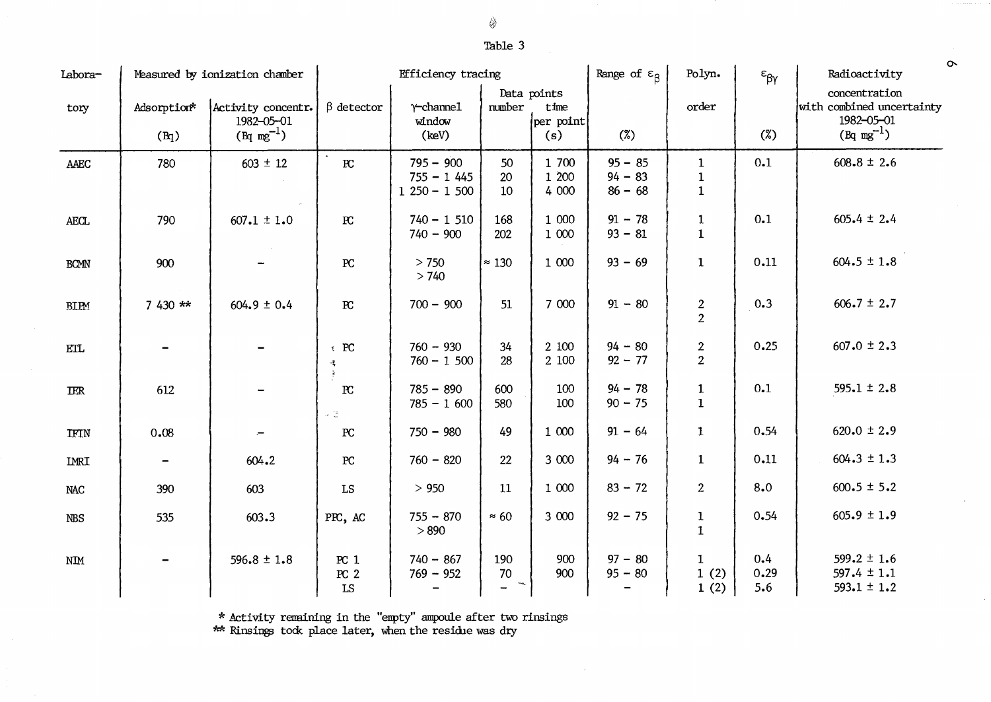◈

## Table 3

| Labora-          |                          | Measured by ionization chamber                     | <b>Efficiency</b> tracing                     |                                              |                |                                         | Range of $\varepsilon_{\beta}$      | Polyn.                                       | Radioactivity      |                                                                            |
|------------------|--------------------------|----------------------------------------------------|-----------------------------------------------|----------------------------------------------|----------------|-----------------------------------------|-------------------------------------|----------------------------------------------|--------------------|----------------------------------------------------------------------------|
| tory             | Adsorption*<br>(Bq)      | Activity concentr.<br>1982-05-01<br>$(Bq mg^{-1})$ | $\beta$ detector                              | $Y$ -channel<br>window<br>$\text{keV}$       | mmber          | Data points<br>time<br>per point<br>(s) | $(\%)$                              | order                                        | $(\%)$             | concentration<br>with combined uncertainty<br>1982-05-01<br>$(Bq mg^{-1})$ |
| AAEC             | 780                      | $603 \pm 12$                                       | $_{\rm RC}$                                   | $795 - 900$<br>$755 - 1445$<br>$1250 - 1500$ | 50<br>20<br>10 | 1 700<br>1 200<br>4 000                 | $95 - 85$<br>$94 - 83$<br>$86 - 68$ | $\mathbf{1}$<br>$\mathbf{1}$<br>$\mathbf{1}$ | 0.1                | $608.8 \pm 2.6$                                                            |
| AECL             | 790                      | $607.1 \pm 1.0$                                    | $_{\rm RC}$                                   | $740 - 1510$<br>$740 - 900$                  | 168<br>202     | 1 000<br>1 000                          | $91 - 78$<br>$93 - 81$              | $\mathbf{1}$<br>$\mathbf{1}$                 | 0.1                | $605.4 \pm 2.4$                                                            |
| <b>BCMN</b>      | 900                      |                                                    | ${\bf P} {\bf C}$                             | > 750<br>> 740                               | $\approx 130$  | 1 000                                   | $93 - 69$                           | $\mathbf 1$                                  | 0.11               | $604.5 \pm 1.8$                                                            |
| <b>BIPM</b>      | $7430**$                 | $604.9 \pm 0.4$                                    | ${\bf R}$                                     | $700 - 900$                                  | 51             | 7 000                                   | $91 - 80$                           | $\overline{\mathbf{c}}$<br>$\overline{2}$    | 0.3                | $606.7 \pm 2.7$                                                            |
| ETL              |                          |                                                    | $\leftarrow$ PC<br>-3                         | $760 - 930$<br>$760 - 1500$                  | 34<br>28       | 2 100<br>2 100                          | $94 - 80$<br>$92 - 77$              | $\overline{c}$<br>$\overline{c}$             | 0.25               | 607.0 $\pm$ 2.3                                                            |
| <b>IER</b>       | 612                      |                                                    | $\mathcal{R}$<br>${\bf P\!C}$<br>$\omega$ (2) | $785 - 890$<br>$785 - 1600$                  | 600<br>580     | 100<br>100                              | $94 - 78$<br>$90 - 75$              | $\mathbf{1}$<br>$\mathbf{1}$                 | 0.1                | 595.1 $\pm$ 2.8                                                            |
| IFIN             | 0.08                     | $\overline{a}$                                     | $_{\rm PC}$                                   | $750 - 980$                                  | 49             | 1 000                                   | $91 - 64$                           | $\mathbf{1}$                                 | 0.54               | $620.0 \pm 2.9$                                                            |
| <b>IMRI</b>      | $\overline{\phantom{m}}$ | 604.2                                              | $_{\rm PC}$                                   | $760 - 820$                                  | 22             | 3 000                                   | $94 - 76$                           | $1\,$                                        | 0.11               | $604.3 \pm 1.3$                                                            |
| NAC              | 390                      | 603                                                | LS                                            | > 950                                        | 11             | 1 000                                   | $83 - 72$                           | $\overline{2}$                               | 8.0                | $600.5 \pm 5.2$                                                            |
| <b>NBS</b>       | 535                      | 603.3                                              | PPC, AC                                       | $755 - 870$<br>> 890                         | $\approx 60$   | 3 000                                   | $92 - 75$                           | $\mathbf{1}$<br>$\mathbf{1}$                 | 0.54               | $605.9 \pm 1.9$                                                            |
| $\texttt{NIM}{}$ |                          | 596.8 $\pm$ 1.8                                    | PC <sub>1</sub><br>PC <sub>2</sub><br>LS      | $740 - 867$<br>$769 - 952$                   | 190<br>70      | 900<br>900                              | $97 - 80$<br>$95 - 80$              | $\mathbf{1}$<br>1(2)<br>1(2)                 | 0.4<br>0.29<br>5.6 | 599.2 $\pm$ 1.6<br>597.4 $\pm$ 1.1<br>593.1 $\pm$ 1.2                      |

\* Activity remaining in the "empty" ampoule after two rinsings<br>\*\* Rinsings took place later, when the residue was dry

 $\alpha$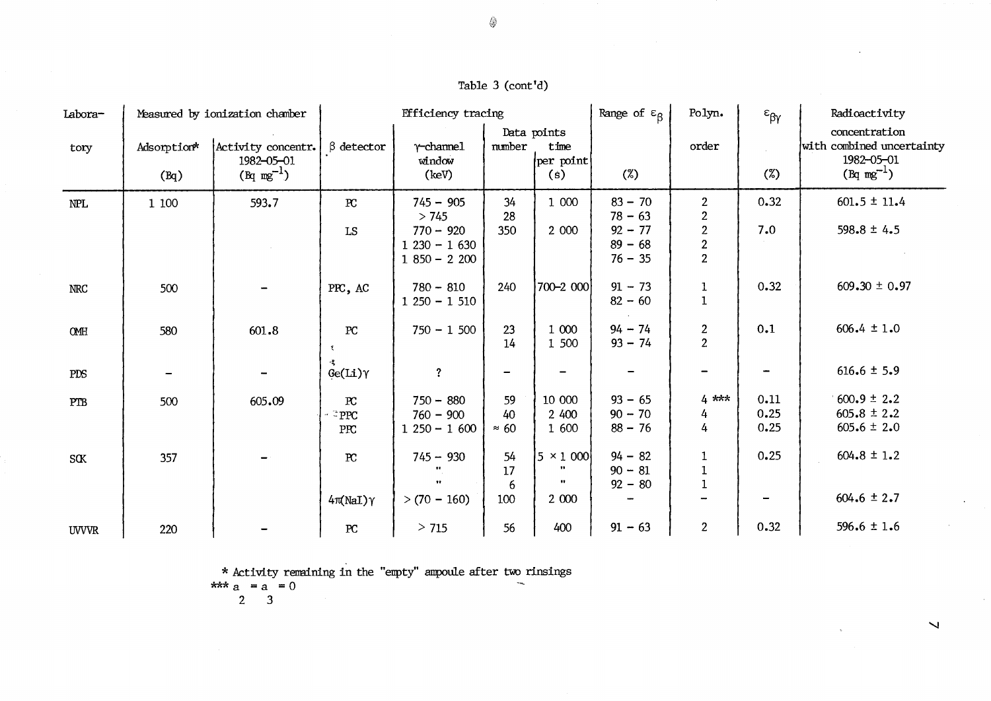| Labora-     |                     | Measured by ionization chamber                     | <b>Efficiency</b> tracing        |                                               |                          |                                         | Range of $\varepsilon_{\beta}$<br>Polyn.<br>$\epsilon_{\beta\gamma}$ |                                            |                      | Radioactivity                                                              |
|-------------|---------------------|----------------------------------------------------|----------------------------------|-----------------------------------------------|--------------------------|-----------------------------------------|----------------------------------------------------------------------|--------------------------------------------|----------------------|----------------------------------------------------------------------------|
| tory        | Adsorption*<br>(Bq) | Activity concentr.<br>1982-05-01<br>$(Bq mg^{-1})$ | $\beta$ detector                 | $\gamma$ -channel<br>window<br>(key)          | mmber                    | Data points<br>time<br>per point<br>(s) | $(\%)$                                                               | order                                      | $(\%)$               | concentration<br>with combined uncertainty<br>1982-05-01<br>$(Bq mg^{-1})$ |
| NPL         | 1 100               | 593.7                                              | ${\bf P\!C}$                     | $745 - 905$<br>> 745                          | 34<br>28                 | 1 000                                   | $83 - 70$<br>$78 - 63$                                               | $\mathbf{2}$<br>$\overline{c}$             | 0.32                 | $601.5 \pm 11.4$                                                           |
|             |                     |                                                    | LS                               | $770 - 920$<br>$1230 - 1630$<br>$1850 - 2200$ | 350                      | 2 000                                   | $92 - 77$<br>$89 - 68$<br>$76 - 35$                                  | $\begin{array}{c} 2 \\ 2 \\ 2 \end{array}$ | 7.0                  | 598.8 $\pm$ 4.5                                                            |
| <b>NRC</b>  | 500                 |                                                    | PPC, AC                          | $780 - 810$<br>$1250 - 1510$                  | 240                      | 700-2 000                               | $91 - 73$<br>$82 - 60$                                               | 1<br>$\mathbf 1$                           | 0.32                 | $609.30 \pm 0.97$                                                          |
| <b>OMH</b>  | 580                 | 601.8                                              | $_{\rm PC}$<br>弋                 | $750 - 1500$                                  | 23<br>14                 | 1 000<br>1 500                          | $94 - 74$<br>$93 - 74$                                               | $\frac{2}{2}$                              | 0.1                  | $606.4 \pm 1.0$                                                            |
| PDS         |                     |                                                    | $\text{Ge}(\text{Li})\gamma$     | $\ddot{\textbf{?}}$                           |                          |                                         |                                                                      |                                            |                      | $616.6 \pm 5.9$                                                            |
| PTB         | 500                 | 605.09                                             | ${\bf P\!C}$<br>$E^2$ PPC<br>PRC | $750 - 880$<br>$760 - 900$<br>$1250 - 1600$   | 59<br>40<br>$\approx 60$ | 10 000<br>2 400<br>1 600                | $93 - 65$<br>$90 - 70$<br>$88 - 76$                                  | $4***$<br>4<br>4                           | 0.11<br>0.25<br>0.25 | $600.9 \pm 2.2$<br>$605.8 \pm 2.2$<br>$605.6 \pm 2.0$                      |
| S(K)        | 357                 |                                                    | $_{\rm rc}$                      | $745 - 930$                                   | 54<br>17<br>6            | $5 \times 1000$<br>.,                   | $94 - 82$<br>$90 - 81$<br>$92 - 80$                                  | 1<br>$\mathbf 1$<br>$\mathbf 1$            | 0.25                 | $604.8 \pm 1.2$                                                            |
|             |                     |                                                    | $4\pi$ (NaI) $\gamma$            | $>(70 - 160)$                                 | 100                      | 2 0 0 0                                 |                                                                      |                                            |                      | $604.6 \pm 2.7$                                                            |
| <b>UVVR</b> | 220                 |                                                    | $_{\rm PC}$                      | > 715                                         | 56                       | 400                                     | $91 - 63$                                                            | $\overline{2}$                             | 0.32                 | 596.6 $\pm$ 1.6                                                            |

Table 3 (cont'd)

\* Activity remaining in the "empty" ampoule after two rinsings<br>\*\*\*  $a = a = 0$ <br>2 3

⊜

 $\overline{\mathbf{v}}$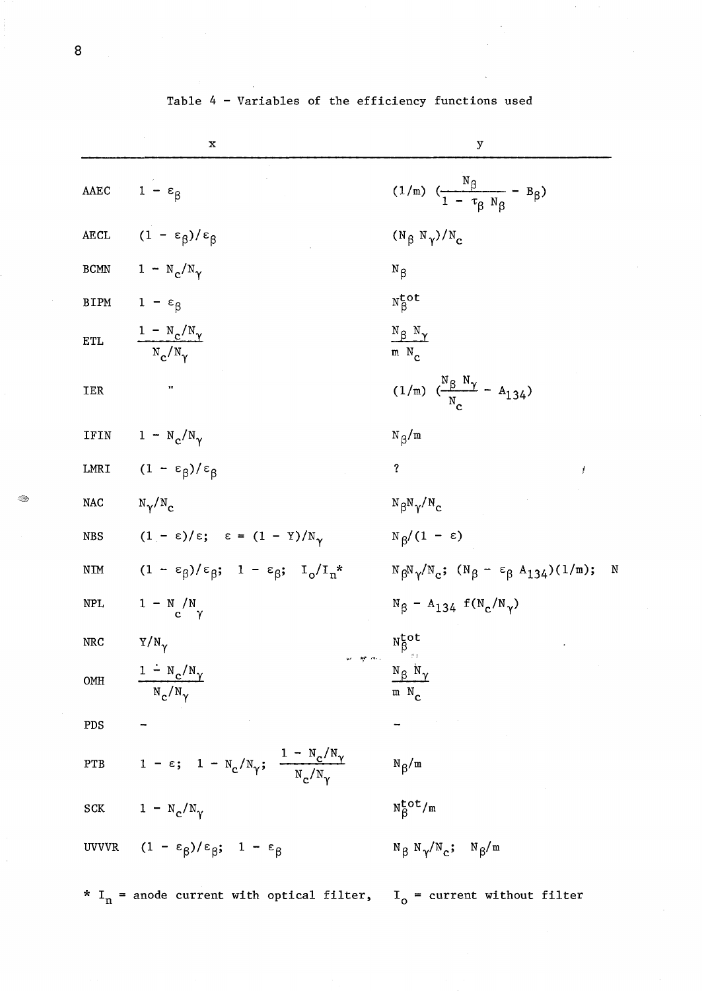|                      | $\mathbf x$                                                                                     | y                                                                                                |
|----------------------|-------------------------------------------------------------------------------------------------|--------------------------------------------------------------------------------------------------|
| ${\tt AAEC}$         | $1 - \varepsilon_{\beta}$                                                                       | (1/m) $\left(\frac{N_{\beta}}{1 - \tau_{\beta} N_{\beta}} - B_{\beta}\right)$                    |
| <b>AECL</b>          | (1 - ε <sub>β</sub> )/ε <sub>β</sub>                                                            | $(N_\beta N_\gamma)/N_c$                                                                         |
| <b>BCMN</b>          | $1 - N_c/N_{\gamma}$                                                                            | $N_{\beta}$                                                                                      |
| <b>BIPM</b>          | $1 - \varepsilon_{\beta}$                                                                       | $N_{\beta}^{\text{tot}}$                                                                         |
| $\operatorname{ETL}$ | $\frac{1 - N_c/N_{\gamma}}{N_c/N_{\gamma}}$                                                     | $N_{\beta} N_{\gamma}$<br>$m N_c$                                                                |
| IER                  | 11                                                                                              | $(1/m)$ $\left(\frac{N_{\beta} N_{\gamma}}{N_c} - A_{134}\right)$                                |
| IFIN                 | $1 - N_c/N_{\gamma}$                                                                            | $N_{\beta}/m$                                                                                    |
| LMRI                 | $(1 - \varepsilon_{\beta})/\varepsilon_{\beta}$                                                 | $\boldsymbol{?}$<br>ř                                                                            |
| <b>NAC</b>           | $N_{\gamma}/N_{\gamma}$                                                                         | $N_{\beta}N_{\gamma}/N_{\text{c}}$                                                               |
| <b>NBS</b>           | $(1 - \varepsilon)/\varepsilon$ ; $\varepsilon = (1 - Y)/N_{\gamma}$                            | $N_{\beta}/(1 - \epsilon)$                                                                       |
| NIM                  | $(1 - \varepsilon_{\beta})/\varepsilon_{\beta}; \quad 1 - \varepsilon_{\beta}; \quad I_0/I_n^*$ | $N_{\beta}N_{\gamma}/N_{c}$ ; $(N_{\beta} - \varepsilon_{\beta} A_{134})$ (1/m);<br>$\mathbb{N}$ |
| <b>NPL</b>           | $1 - N/N$<br>c $\gamma$                                                                         | $N_{\beta}$ - A <sub>134</sub> f(N <sub>c</sub> /N <sub><math>\gamma</math></sub> )              |
| <b>NRC</b>           | $Y/N_{\gamma}$                                                                                  | $N_{\beta}^{\text{tot}}$                                                                         |
| OMH                  | or arms<br>$\frac{1 - N_c/N_{\gamma}}{N_c/N_{\gamma}}$                                          | $N_{\beta} N_{\gamma}$<br>$m N_c$                                                                |
| PDS                  |                                                                                                 |                                                                                                  |
| PTB                  | 1 - $\varepsilon$ ; 1 - $N_c/N_{\gamma}$ ; $\frac{1 - N_c/N_{\gamma}}{N_c/N_{\gamma}}$          | $N_{\beta}/m$                                                                                    |
| SCK                  | $1 - N_c/N_{\gamma}$                                                                            | $N_{\beta}^{\text{tot}}/m$                                                                       |
|                      | UVVVR $(1 - \varepsilon_{\beta})/\varepsilon_{\beta}; 1 - \varepsilon_{\beta}$                  | $N_{\beta} N_{\gamma}/N_{\rm c}$ ; $N_{\beta}/m$                                                 |
|                      | * I <sub>n</sub> = anode current with optical filter, I <sub>0</sub> = current without filter   |                                                                                                  |

Table 4 - Variables of the efficiency functions used

*.Qb*